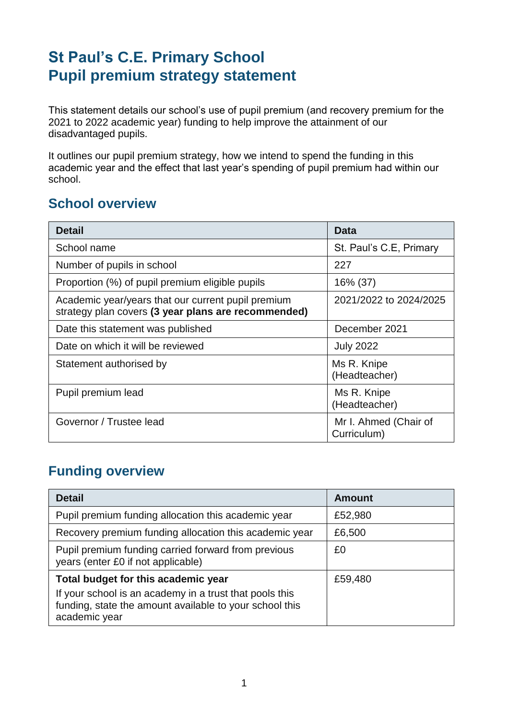## **St Paul's C.E. Primary School Pupil premium strategy statement**

This statement details our school's use of pupil premium (and recovery premium for the 2021 to 2022 academic year) funding to help improve the attainment of our disadvantaged pupils.

It outlines our pupil premium strategy, how we intend to spend the funding in this academic year and the effect that last year's spending of pupil premium had within our school.

#### **School overview**

| <b>Detail</b>                                                                                             | <b>Data</b>                          |
|-----------------------------------------------------------------------------------------------------------|--------------------------------------|
| School name                                                                                               | St. Paul's C.E, Primary              |
| Number of pupils in school                                                                                | 227                                  |
| Proportion (%) of pupil premium eligible pupils                                                           | 16% (37)                             |
| Academic year/years that our current pupil premium<br>strategy plan covers (3 year plans are recommended) | 2021/2022 to 2024/2025               |
| Date this statement was published                                                                         | December 2021                        |
| Date on which it will be reviewed                                                                         | <b>July 2022</b>                     |
| Statement authorised by                                                                                   | Ms R. Knipe<br>(Headteacher)         |
| Pupil premium lead                                                                                        | Ms R. Knipe<br>(Headteacher)         |
| Governor / Trustee lead                                                                                   | Mr I. Ahmed (Chair of<br>Curriculum) |

#### **Funding overview**

| <b>Detail</b>                                                                                                                       | <b>Amount</b> |
|-------------------------------------------------------------------------------------------------------------------------------------|---------------|
| Pupil premium funding allocation this academic year                                                                                 | £52,980       |
| Recovery premium funding allocation this academic year                                                                              | £6,500        |
| Pupil premium funding carried forward from previous<br>years (enter £0 if not applicable)                                           | £0            |
| Total budget for this academic year                                                                                                 | £59,480       |
| If your school is an academy in a trust that pools this<br>funding, state the amount available to your school this<br>academic year |               |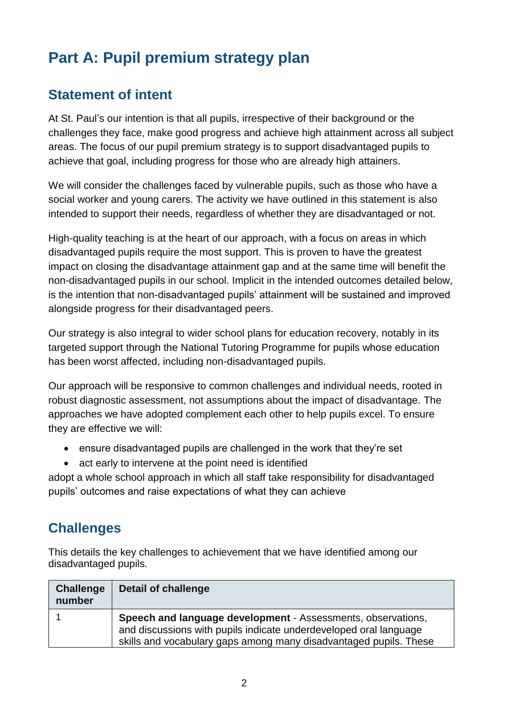## **Part A: Pupil premium strategy plan**

#### **Statement of intent**

At St. Paul's our intention is that all pupils, irrespective of their background or the challenges they face, make good progress and achieve high attainment across all subject areas. The focus of our pupil premium strategy is to support disadvantaged pupils to achieve that goal, including progress for those who are already high attainers.

We will consider the challenges faced by vulnerable pupils, such as those who have a social worker and young carers. The activity we have outlined in this statement is also intended to support their needs, regardless of whether they are disadvantaged or not.

High-quality teaching is at the heart of our approach, with a focus on areas in which disadvantaged pupils require the most support. This is proven to have the greatest impact on closing the disadvantage attainment gap and at the same time will benefit the non-disadvantaged pupils in our school. Implicit in the intended outcomes detailed below, is the intention that non-disadvantaged pupils' attainment will be sustained and improved alongside progress for their disadvantaged peers.

Our strategy is also integral to wider school plans for education recovery, notably in its targeted support through the National Tutoring Programme for pupils whose education has been worst affected, including non-disadvantaged pupils.

Our approach will be responsive to common challenges and individual needs, rooted in robust diagnostic assessment, not assumptions about the impact of disadvantage. The approaches we have adopted complement each other to help pupils excel. To ensure they are effective we will:

- ensure disadvantaged pupils are challenged in the work that they're set
- act early to intervene at the point need is identified

adopt a whole school approach in which all staff take responsibility for disadvantaged pupils' outcomes and raise expectations of what they can achieve

## **Challenges**

This details the key challenges to achievement that we have identified among our disadvantaged pupils.

| <b>Challenge</b><br>number | Detail of challenge                                                                                                                                                                                           |
|----------------------------|---------------------------------------------------------------------------------------------------------------------------------------------------------------------------------------------------------------|
|                            | <b>Speech and language development - Assessments, observations,</b><br>and discussions with pupils indicate underdeveloped oral language<br>skills and vocabulary gaps among many disadvantaged pupils. These |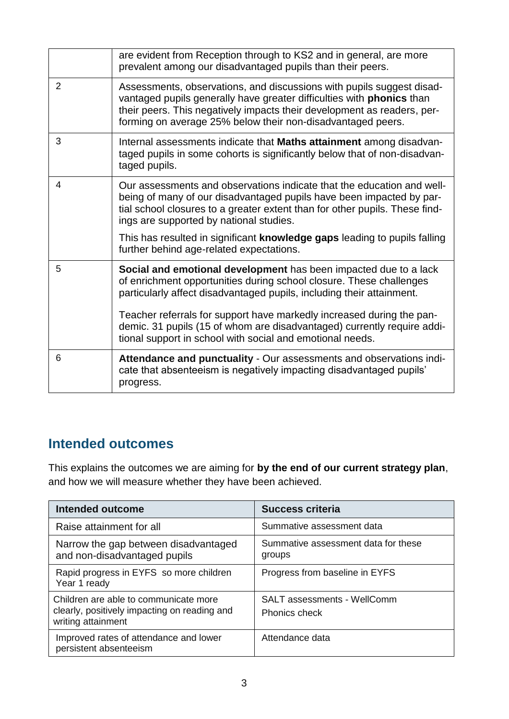|                | are evident from Reception through to KS2 and in general, are more<br>prevalent among our disadvantaged pupils than their peers.                                                                                                                                                                |
|----------------|-------------------------------------------------------------------------------------------------------------------------------------------------------------------------------------------------------------------------------------------------------------------------------------------------|
| $\overline{2}$ | Assessments, observations, and discussions with pupils suggest disad-<br>vantaged pupils generally have greater difficulties with <b>phonics</b> than<br>their peers. This negatively impacts their development as readers, per-<br>forming on average 25% below their non-disadvantaged peers. |
| 3              | Internal assessments indicate that Maths attainment among disadvan-<br>taged pupils in some cohorts is significantly below that of non-disadvan-<br>taged pupils.                                                                                                                               |
| 4              | Our assessments and observations indicate that the education and well-<br>being of many of our disadvantaged pupils have been impacted by par-<br>tial school closures to a greater extent than for other pupils. These find-<br>ings are supported by national studies.                        |
|                | This has resulted in significant knowledge gaps leading to pupils falling<br>further behind age-related expectations.                                                                                                                                                                           |
| 5              | Social and emotional development has been impacted due to a lack<br>of enrichment opportunities during school closure. These challenges<br>particularly affect disadvantaged pupils, including their attainment.                                                                                |
|                | Teacher referrals for support have markedly increased during the pan-<br>demic. 31 pupils (15 of whom are disadvantaged) currently require addi-<br>tional support in school with social and emotional needs.                                                                                   |
| 6              | Attendance and punctuality - Our assessments and observations indi-<br>cate that absenteeism is negatively impacting disadvantaged pupils'<br>progress.                                                                                                                                         |

## **Intended outcomes**

This explains the outcomes we are aiming for **by the end of our current strategy plan**, and how we will measure whether they have been achieved.

| Intended outcome                                                                                            | <b>Success criteria</b>                       |
|-------------------------------------------------------------------------------------------------------------|-----------------------------------------------|
| Raise attainment for all                                                                                    | Summative assessment data                     |
| Narrow the gap between disadvantaged<br>and non-disadvantaged pupils                                        | Summative assessment data for these<br>groups |
| Rapid progress in EYFS so more children<br>Year 1 ready                                                     | Progress from baseline in EYFS                |
| Children are able to communicate more<br>clearly, positively impacting on reading and<br>writing attainment | SALT assessments - WellComm<br>Phonics check  |
| Improved rates of attendance and lower<br>persistent absenteeism                                            | Attendance data                               |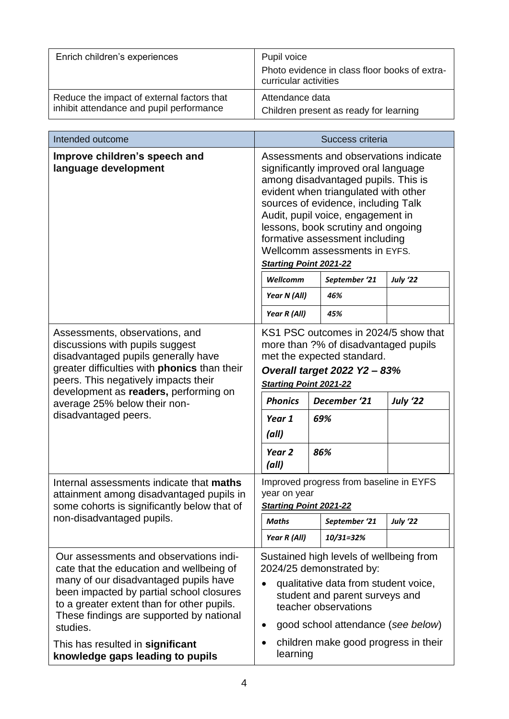| Enrich children's experiences                                                          | Pupil voice                                                            |  |
|----------------------------------------------------------------------------------------|------------------------------------------------------------------------|--|
|                                                                                        | Photo evidence in class floor books of extra-<br>curricular activities |  |
| Reduce the impact of external factors that<br>inhibit attendance and pupil performance | Attendance data<br>Children present as ready for learning              |  |

| Intended outcome                                                                                                                                                                                                                                                                                                  | Success criteria                                                                                                                                                                                                                                                                                                                                                                   |  |                      |                 |
|-------------------------------------------------------------------------------------------------------------------------------------------------------------------------------------------------------------------------------------------------------------------------------------------------------------------|------------------------------------------------------------------------------------------------------------------------------------------------------------------------------------------------------------------------------------------------------------------------------------------------------------------------------------------------------------------------------------|--|----------------------|-----------------|
| Improve children's speech and<br>language development                                                                                                                                                                                                                                                             | Assessments and observations indicate<br>significantly improved oral language<br>among disadvantaged pupils. This is<br>evident when triangulated with other<br>sources of evidence, including Talk<br>Audit, pupil voice, engagement in<br>lessons, book scrutiny and ongoing<br>formative assessment including<br>Wellcomm assessments in EYFS.<br><b>Starting Point 2021-22</b> |  |                      |                 |
|                                                                                                                                                                                                                                                                                                                   | Wellcomm                                                                                                                                                                                                                                                                                                                                                                           |  | September '21<br>46% | <b>July '22</b> |
|                                                                                                                                                                                                                                                                                                                   | Year N (All)                                                                                                                                                                                                                                                                                                                                                                       |  |                      |                 |
| Assessments, observations, and<br>discussions with pupils suggest<br>disadvantaged pupils generally have<br>greater difficulties with <b>phonics</b> than their<br>peers. This negatively impacts their<br>development as readers, performing on<br>average 25% below their non-                                  | Year R (All)<br>45%<br>KS1 PSC outcomes in 2024/5 show that<br>more than ?% of disadvantaged pupils<br>met the expected standard.<br><b>Overall target 2022 Y2 - 83%</b><br><b>Starting Point 2021-22</b><br>December '21<br><b>July '22</b><br><b>Phonics</b>                                                                                                                     |  |                      |                 |
| disadvantaged peers.                                                                                                                                                                                                                                                                                              | Year 1                                                                                                                                                                                                                                                                                                                                                                             |  | 69%                  |                 |
|                                                                                                                                                                                                                                                                                                                   | (all)<br>Year <sub>2</sub><br>(all)                                                                                                                                                                                                                                                                                                                                                |  | 86%                  |                 |
| Internal assessments indicate that maths<br>attainment among disadvantaged pupils in<br>some cohorts is significantly below that of                                                                                                                                                                               | Improved progress from baseline in EYFS<br>year on year<br><b>Starting Point 2021-22</b>                                                                                                                                                                                                                                                                                           |  |                      |                 |
| non-disadvantaged pupils.                                                                                                                                                                                                                                                                                         | <b>Maths</b>                                                                                                                                                                                                                                                                                                                                                                       |  | September '21        | <b>July '22</b> |
|                                                                                                                                                                                                                                                                                                                   | Year R (All)                                                                                                                                                                                                                                                                                                                                                                       |  | 10/31=32%            |                 |
| Our assessments and observations indi-<br>cate that the education and wellbeing of<br>many of our disadvantaged pupils have<br>been impacted by partial school closures<br>to a greater extent than for other pupils.<br>These findings are supported by national<br>studies.<br>This has resulted in significant | Sustained high levels of wellbeing from<br>2024/25 demonstrated by:<br>qualitative data from student voice,<br>student and parent surveys and<br>teacher observations<br>good school attendance (see below)<br>children make good progress in their                                                                                                                                |  |                      |                 |
| knowledge gaps leading to pupils                                                                                                                                                                                                                                                                                  | learning                                                                                                                                                                                                                                                                                                                                                                           |  |                      |                 |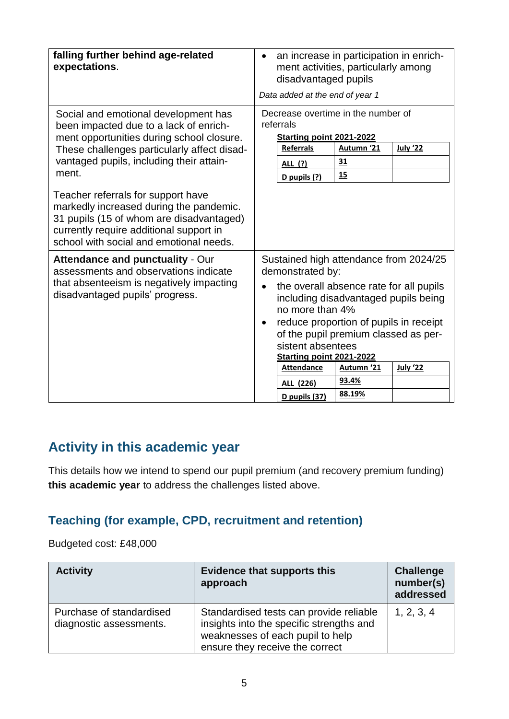| falling further behind age-related<br>expectations.                                                                                                                                                                                                                   | an increase in participation in enrich-<br>ment activities, particularly among<br>disadvantaged pupils<br>Data added at the end of year 1                                                                                                                                                                                                                                       |  |  |
|-----------------------------------------------------------------------------------------------------------------------------------------------------------------------------------------------------------------------------------------------------------------------|---------------------------------------------------------------------------------------------------------------------------------------------------------------------------------------------------------------------------------------------------------------------------------------------------------------------------------------------------------------------------------|--|--|
| Social and emotional development has<br>been impacted due to a lack of enrich-<br>ment opportunities during school closure.<br>These challenges particularly affect disad-<br>vantaged pupils, including their attain-<br>ment.<br>Teacher referrals for support have | Decrease overtime in the number of<br>referrals<br>Starting point 2021-2022<br><b>July '22</b><br><b>Referrals</b><br>Autumn '21<br>31<br>ALL (?)<br>15<br>D pupils (?)                                                                                                                                                                                                         |  |  |
| markedly increased during the pandemic.<br>31 pupils (15 of whom are disadvantaged)<br>currently require additional support in<br>school with social and emotional needs.                                                                                             |                                                                                                                                                                                                                                                                                                                                                                                 |  |  |
| <b>Attendance and punctuality - Our</b><br>assessments and observations indicate<br>that absenteeism is negatively impacting<br>disadvantaged pupils' progress.                                                                                                       | Sustained high attendance from 2024/25<br>demonstrated by:<br>the overall absence rate for all pupils<br>including disadvantaged pupils being<br>no more than 4%<br>reduce proportion of pupils in receipt<br>of the pupil premium classed as per-<br>sistent absentees<br>Starting point 2021-2022<br><b>Attendance</b><br>Autumn '21<br><b>July '22</b><br>93.4%<br>ALL (226) |  |  |

#### **Activity in this academic year**

This details how we intend to spend our pupil premium (and recovery premium funding) **this academic year** to address the challenges listed above.

#### **Teaching (for example, CPD, recruitment and retention)**

Budgeted cost: £48,000

| <b>Activity</b>                                     | <b>Evidence that supports this</b><br>approach                                                                                                             | <b>Challenge</b><br>number(s)<br>addressed |
|-----------------------------------------------------|------------------------------------------------------------------------------------------------------------------------------------------------------------|--------------------------------------------|
| Purchase of standardised<br>diagnostic assessments. | Standardised tests can provide reliable<br>insights into the specific strengths and<br>weaknesses of each pupil to help<br>ensure they receive the correct | 1, 2, 3, 4                                 |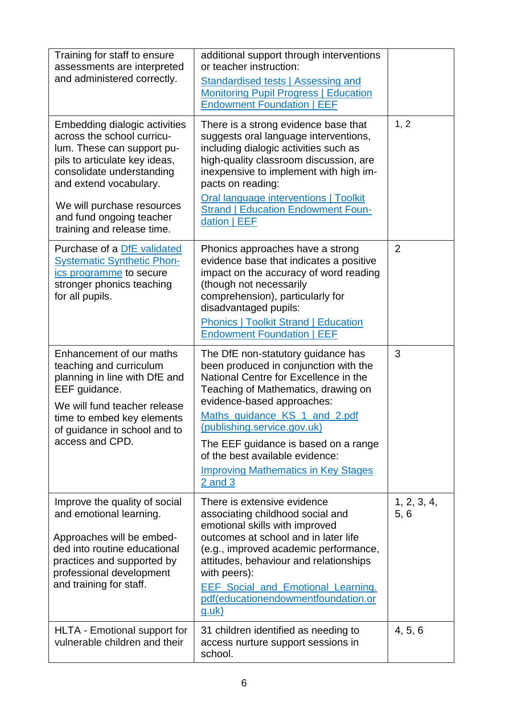| Training for staff to ensure<br>assessments are interpreted<br>and administered correctly.                                                                                                                                                                                | additional support through interventions<br>or teacher instruction:<br>Standardised tests   Assessing and<br><b>Monitoring Pupil Progress   Education</b><br><b>Endowment Foundation   EEF</b>                                                                                                                                                                                                    |                     |
|---------------------------------------------------------------------------------------------------------------------------------------------------------------------------------------------------------------------------------------------------------------------------|---------------------------------------------------------------------------------------------------------------------------------------------------------------------------------------------------------------------------------------------------------------------------------------------------------------------------------------------------------------------------------------------------|---------------------|
| Embedding dialogic activities<br>across the school curricu-<br>lum. These can support pu-<br>pils to articulate key ideas,<br>consolidate understanding<br>and extend vocabulary.<br>We will purchase resources<br>and fund ongoing teacher<br>training and release time. | There is a strong evidence base that<br>suggests oral language interventions,<br>including dialogic activities such as<br>high-quality classroom discussion, are<br>inexpensive to implement with high im-<br>pacts on reading:<br><b>Oral language interventions   Toolkit</b><br><b>Strand   Education Endowment Foun-</b><br>dation   EEF                                                      | 1, 2                |
| Purchase of a DfE validated<br><b>Systematic Synthetic Phon-</b><br>ics programme to secure<br>stronger phonics teaching<br>for all pupils.                                                                                                                               | Phonics approaches have a strong<br>evidence base that indicates a positive<br>impact on the accuracy of word reading<br>(though not necessarily<br>comprehension), particularly for<br>disadvantaged pupils:<br><b>Phonics   Toolkit Strand   Education</b><br><b>Endowment Foundation   EEF</b>                                                                                                 | $\overline{2}$      |
| Enhancement of our maths<br>teaching and curriculum<br>planning in line with DfE and<br>EEF quidance.<br>We will fund teacher release<br>time to embed key elements<br>of guidance in school and to<br>access and CPD.                                                    | The DfE non-statutory guidance has<br>been produced in conjunction with the<br>National Centre for Excellence in the<br>Teaching of Mathematics, drawing on<br>evidence-based approaches:<br>Maths_guidance_KS_1_and_2.pdf<br>(publishing.service.gov.uk)<br>The EEF guidance is based on a range<br>of the best available evidence:<br><b>Improving Mathematics in Key Stages</b><br>$2$ and $3$ | 3                   |
| Improve the quality of social<br>and emotional learning.<br>Approaches will be embed-<br>ded into routine educational<br>practices and supported by<br>professional development<br>and training for staff.                                                                | There is extensive evidence<br>associating childhood social and<br>emotional skills with improved<br>outcomes at school and in later life<br>(e.g., improved academic performance,<br>attitudes, behaviour and relationships<br>with peers):<br><b>EEF Social and Emotional Learning.</b><br>pdf(educationendowmentfoundation.or<br>$g.$ uk $)$                                                   | 1, 2, 3, 4,<br>5, 6 |
| HLTA - Emotional support for<br>vulnerable children and their                                                                                                                                                                                                             | 31 children identified as needing to<br>access nurture support sessions in<br>school.                                                                                                                                                                                                                                                                                                             | 4, 5, 6             |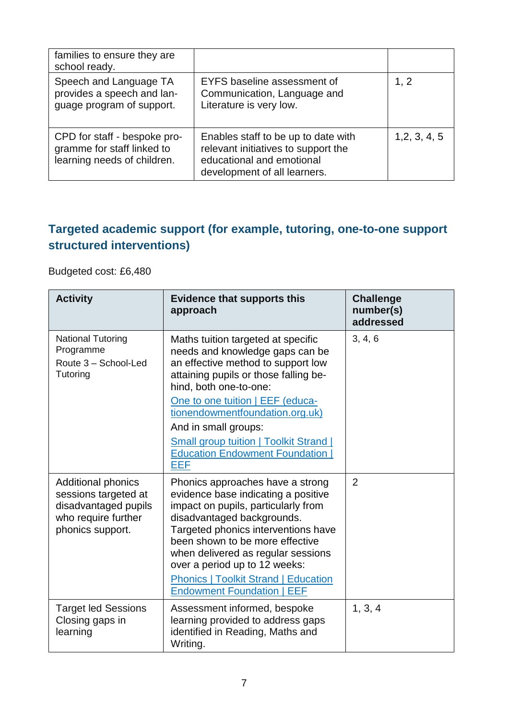| families to ensure they are<br>school ready.                                              |                                                                                                                                         |               |
|-------------------------------------------------------------------------------------------|-----------------------------------------------------------------------------------------------------------------------------------------|---------------|
| Speech and Language TA<br>provides a speech and lan-<br>guage program of support.         | EYFS baseline assessment of<br>Communication, Language and<br>Literature is very low.                                                   | 1, 2          |
| CPD for staff - bespoke pro-<br>gramme for staff linked to<br>learning needs of children. | Enables staff to be up to date with<br>relevant initiatives to support the<br>educational and emotional<br>development of all learners. | 1, 2, 3, 4, 5 |

#### **Targeted academic support (for example, tutoring, one-to-one support structured interventions)**

Budgeted cost: £6,480

| <b>Activity</b>                                                                                                      | <b>Evidence that supports this</b><br>approach                                                                                                                                                                                                                                                                                                                                    | <b>Challenge</b><br>number(s)<br>addressed |
|----------------------------------------------------------------------------------------------------------------------|-----------------------------------------------------------------------------------------------------------------------------------------------------------------------------------------------------------------------------------------------------------------------------------------------------------------------------------------------------------------------------------|--------------------------------------------|
| <b>National Tutoring</b><br>Programme<br>Route 3 - School-Led<br>Tutoring                                            | Maths tuition targeted at specific<br>needs and knowledge gaps can be<br>an effective method to support low<br>attaining pupils or those falling be-<br>hind, both one-to-one:<br>One to one tuition   EEF (educa-<br>tionendowmentfoundation.org.uk)<br>And in small groups:<br><b>Small group tuition   Toolkit Strand  </b><br><b>Education Endowment Foundation</b><br>EEF    | 3, 4, 6                                    |
| <b>Additional phonics</b><br>sessions targeted at<br>disadvantaged pupils<br>who require further<br>phonics support. | Phonics approaches have a strong<br>evidence base indicating a positive<br>impact on pupils, particularly from<br>disadvantaged backgrounds.<br>Targeted phonics interventions have<br>been shown to be more effective<br>when delivered as regular sessions<br>over a period up to 12 weeks:<br><b>Phonics   Toolkit Strand   Education</b><br><b>Endowment Foundation   EEF</b> | $\overline{2}$                             |
| <b>Target led Sessions</b><br>Closing gaps in<br>learning                                                            | Assessment informed, bespoke<br>learning provided to address gaps<br>identified in Reading, Maths and<br>Writing.                                                                                                                                                                                                                                                                 | 1, 3, 4                                    |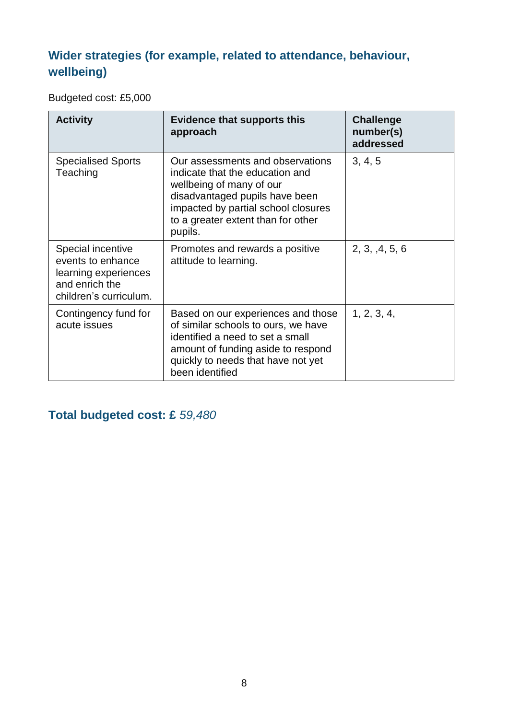#### **Wider strategies (for example, related to attendance, behaviour, wellbeing)**

Budgeted cost: £5,000

| <b>Activity</b>                                                                                            | <b>Evidence that supports this</b><br>approach                                                                                                                                                                            | <b>Challenge</b><br>number(s)<br>addressed |
|------------------------------------------------------------------------------------------------------------|---------------------------------------------------------------------------------------------------------------------------------------------------------------------------------------------------------------------------|--------------------------------------------|
| <b>Specialised Sports</b><br>Teaching                                                                      | Our assessments and observations<br>indicate that the education and<br>wellbeing of many of our<br>disadvantaged pupils have been<br>impacted by partial school closures<br>to a greater extent than for other<br>pupils. | 3, 4, 5                                    |
| Special incentive<br>events to enhance<br>learning experiences<br>and enrich the<br>children's curriculum. | Promotes and rewards a positive<br>attitude to learning.                                                                                                                                                                  | 2, 3, 4, 5, 6                              |
| Contingency fund for<br>acute issues                                                                       | Based on our experiences and those<br>of similar schools to ours, we have<br>identified a need to set a small<br>amount of funding aside to respond<br>quickly to needs that have not yet<br>been identified              | 1, 2, 3, 4,                                |

#### **Total budgeted cost: £** *59,480*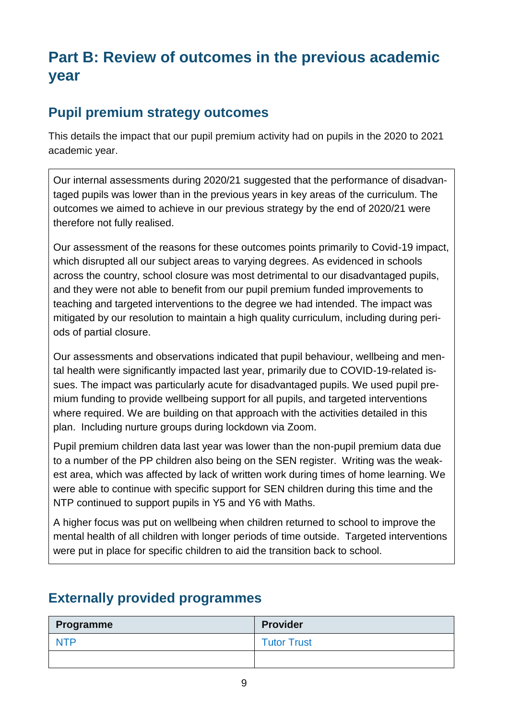## **Part B: Review of outcomes in the previous academic year**

#### **Pupil premium strategy outcomes**

This details the impact that our pupil premium activity had on pupils in the 2020 to 2021 academic year.

Our internal assessments during 2020/21 suggested that the performance of disadvantaged pupils was lower than in the previous years in key areas of the curriculum. The outcomes we aimed to achieve in our previous strategy by the end of 2020/21 were therefore not fully realised.

Our assessment of the reasons for these outcomes points primarily to Covid-19 impact, which disrupted all our subject areas to varying degrees. As evidenced in schools across the country, school closure was most detrimental to our disadvantaged pupils, and they were not able to benefit from our pupil premium funded improvements to teaching and targeted interventions to the degree we had intended. The impact was mitigated by our resolution to maintain a high quality curriculum, including during periods of partial closure.

Our assessments and observations indicated that pupil behaviour, wellbeing and mental health were significantly impacted last year, primarily due to COVID-19-related issues. The impact was particularly acute for disadvantaged pupils. We used pupil premium funding to provide wellbeing support for all pupils, and targeted interventions where required. We are building on that approach with the activities detailed in this plan. Including nurture groups during lockdown via Zoom.

Pupil premium children data last year was lower than the non-pupil premium data due to a number of the PP children also being on the SEN register. Writing was the weakest area, which was affected by lack of written work during times of home learning. We were able to continue with specific support for SEN children during this time and the NTP continued to support pupils in Y5 and Y6 with Maths.

A higher focus was put on wellbeing when children returned to school to improve the mental health of all children with longer periods of time outside. Targeted interventions were put in place for specific children to aid the transition back to school.

# **Programme Provider** NTP **Tutor Trust**

#### **Externally provided programmes**